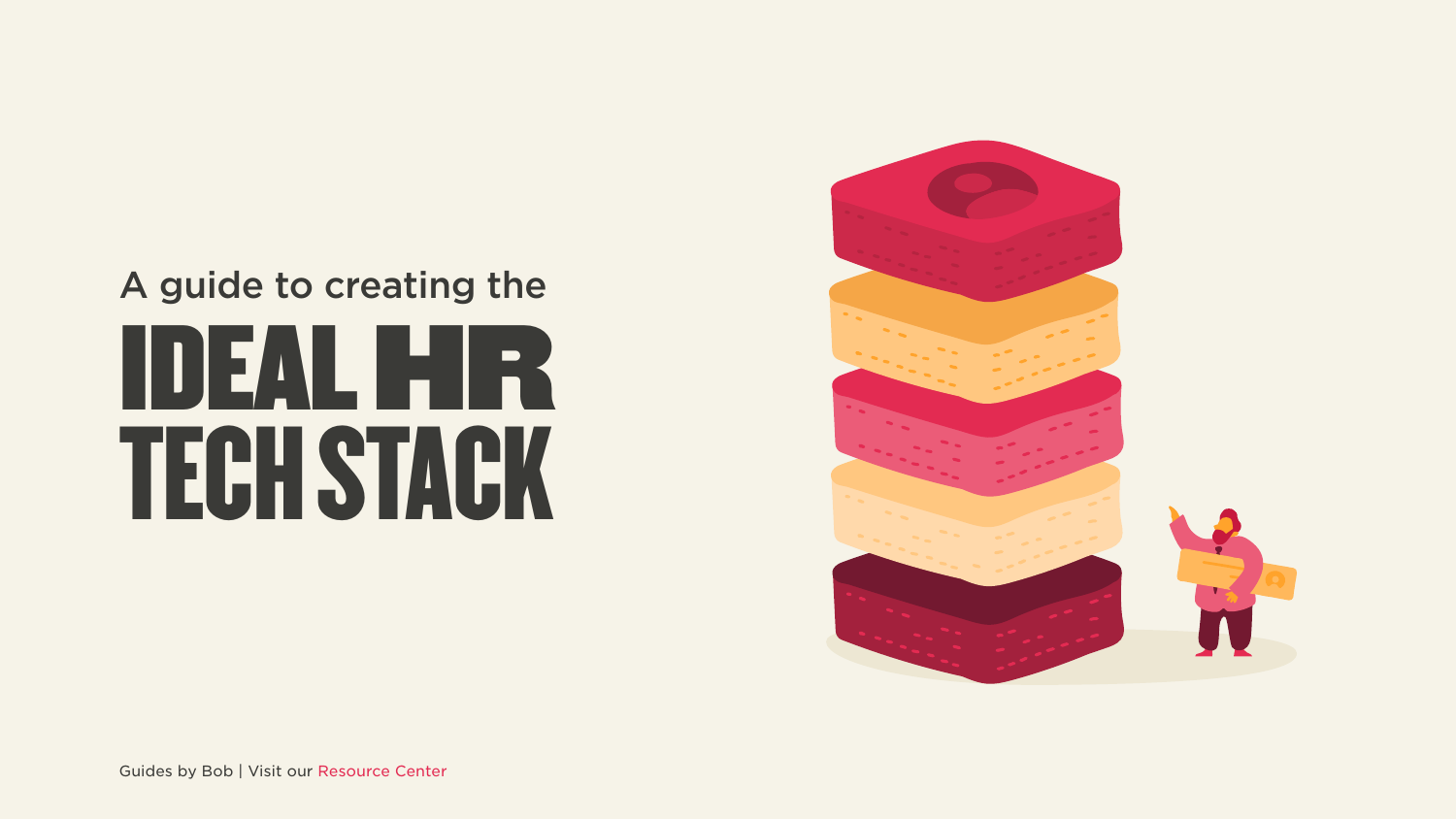# HR IDEAL HEAL TECH STACK A guide to creating the

Guides by Bob | Visit our Resource Center

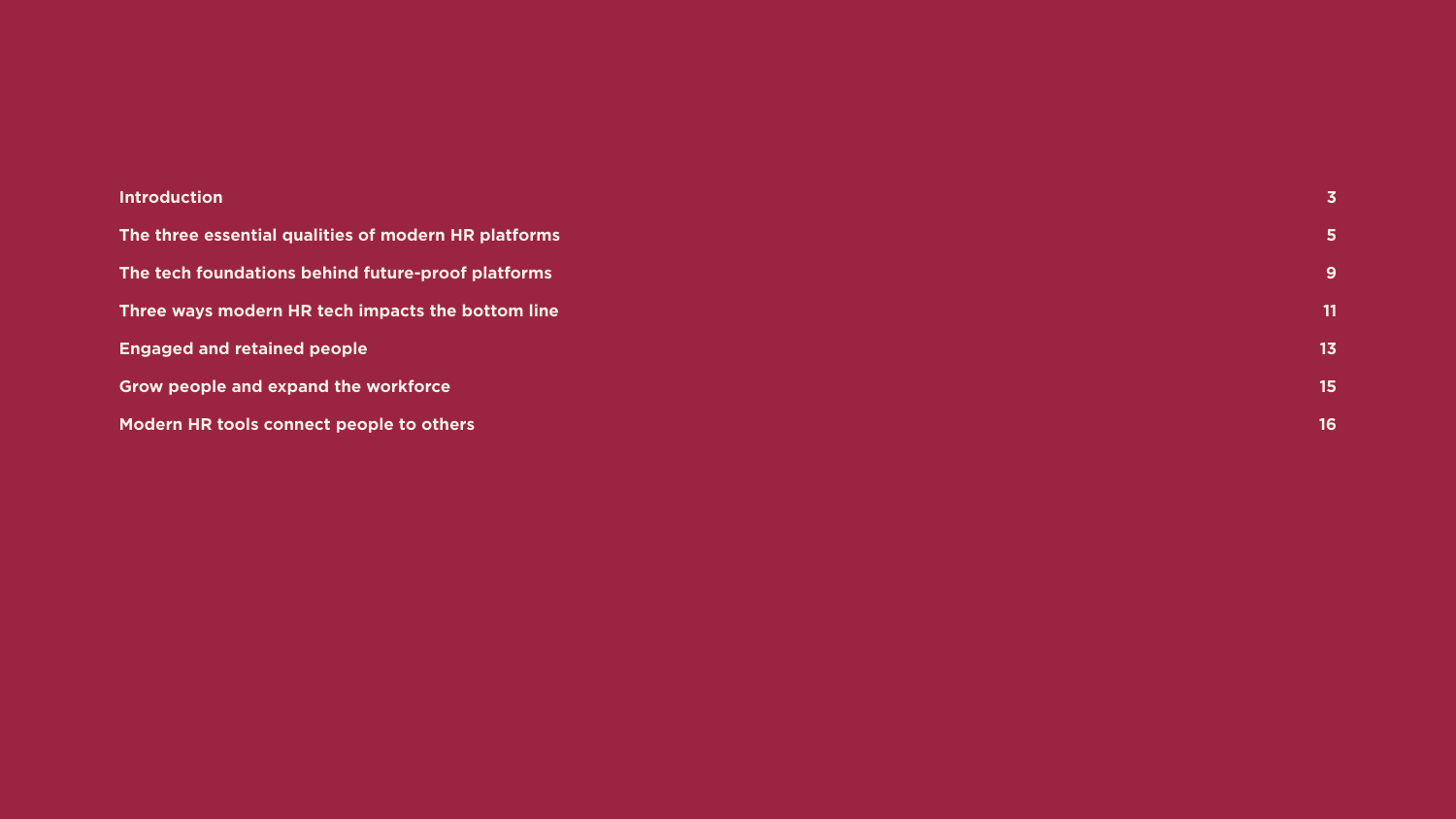#### **[Introduction](#page-2-0)**

The three essential qualities of modern HR platforms The tech foundations behind future-proof platforms Three ways modern HR tech impacts the bottom line **Engaged and retained people Grow people and expand the workforce Modern HR tools connect people to others** 

**3 [5](#page-3-0) [9](#page-7-0) [11](#page-9-0) [13](#page-11-0) [15](#page-13-0)**

**[16](#page-14-0)**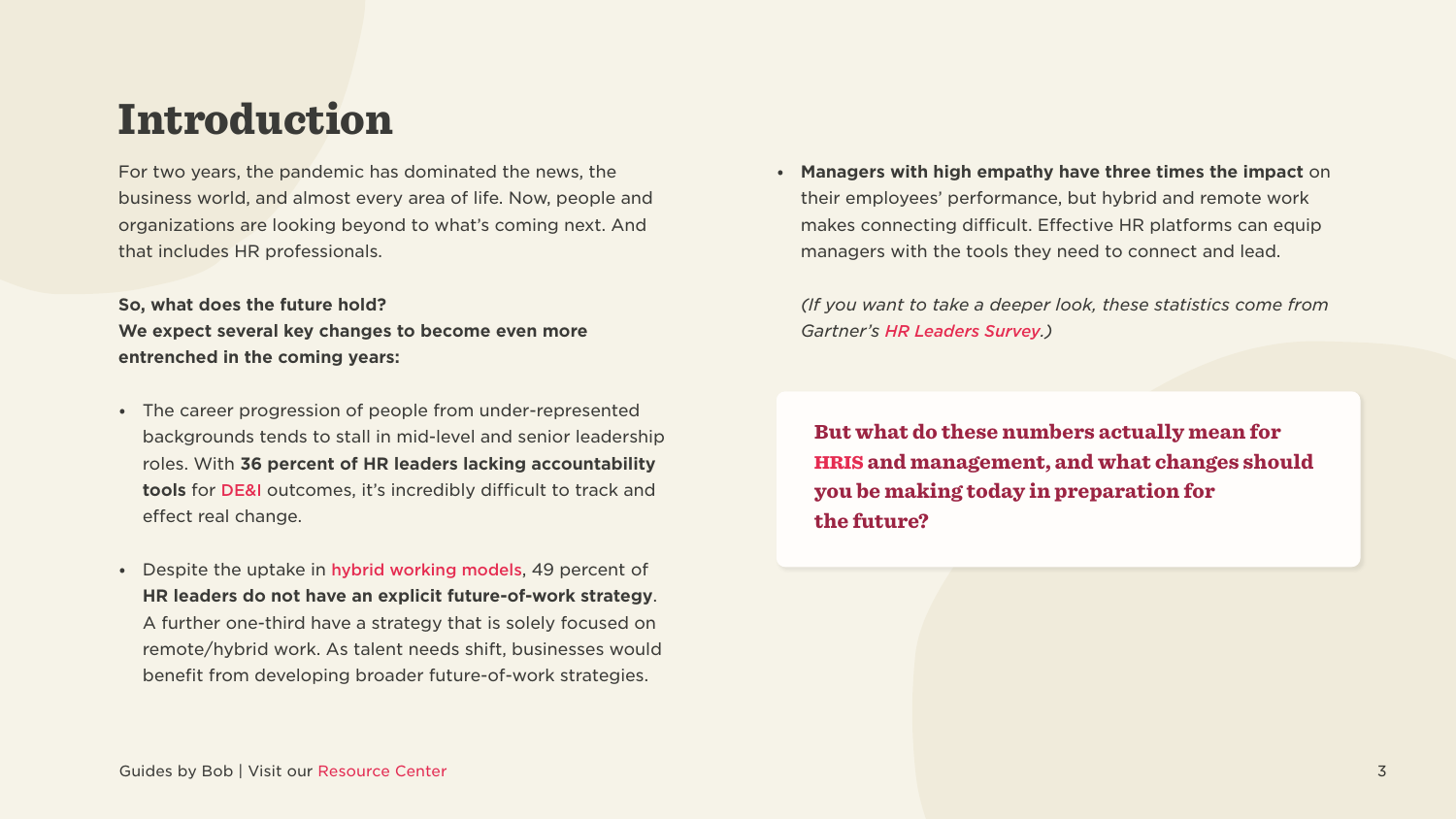### <span id="page-2-0"></span>Introduction

For two years, the pandemic has dominated the news, the business world, and almost every area of life. Now, people and organizations are looking beyond to what's coming next. And that includes HR professionals.

#### **So, what does the future hold?** We expect several key changes to become even more entrenched in the coming years:

- The career progression of people from under-represented backgrounds tends to stall in mid-level and senior leadership roles. With 36 percent of HR leaders lacking accountability tools for DE&I outcomes, it's incredibly difficult to track and effect real change.
- Despite the uptake in hybrid working models, 49 percent of **HR leaders do not have an explicit future-of-work strategy.** A further one-third have a strategy that is solely focused on remote/hybrid work. As talent needs shift, businesses would benefit from developing broader future-of-work strategies.

• Managers with high empathy have three times the impact on their employees' performance, but hybrid and remote work makes connecting difficult. Effective HR platforms can equip managers with the tools they need to connect and lead.

*(If you want to take a deeper look, these statistics come from Gartner's HR Leaders Survey.)* 

But what do these numbers actually mean for [HRIS](https://www.hibob.com/hr-glossary/hris/) and management, and what changes should you be making today in preparation for the future?

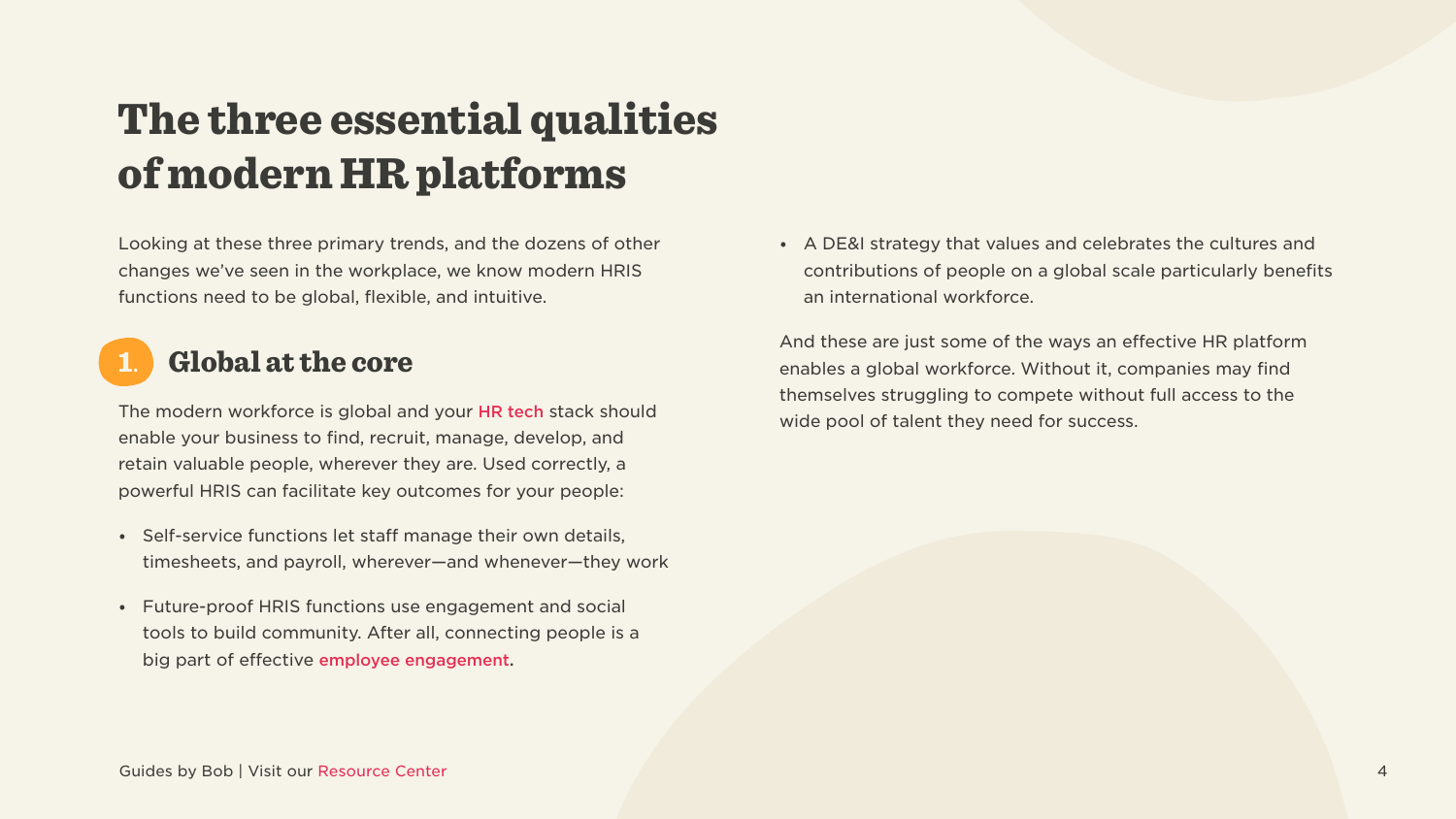## <span id="page-3-0"></span>The three essential qualities of modern HR platforms

Looking at these three primary trends, and the dozens of other changes we've seen in the workplace, we know modern HRIS functions need to be global, flexible, and intuitive.

### **Global at the core**

The modern workforce is global and your HR tech stack should enable your business to find, recruit, manage, develop, and retain valuable people, wherever they are. Used correctly, a powerful HRIS can facilitate key outcomes for your people:

- Self-service functions let staff manage their own details, timesheets, and payroll, wherever—and whenever—they work
- Future-proof HRIS functions use engagement and social tools to build community. After all, connecting people is a big part of effective employee engagement.

• A DE&I strategy that values and celebrates the cultures and contributions of people on a global scale particularly benefits an international workforce.

And these are just some of the ways an effective HR platform enables a global workforce. Without it, companies may find themselves struggling to compete without full access to the wide pool of talent they need for success.

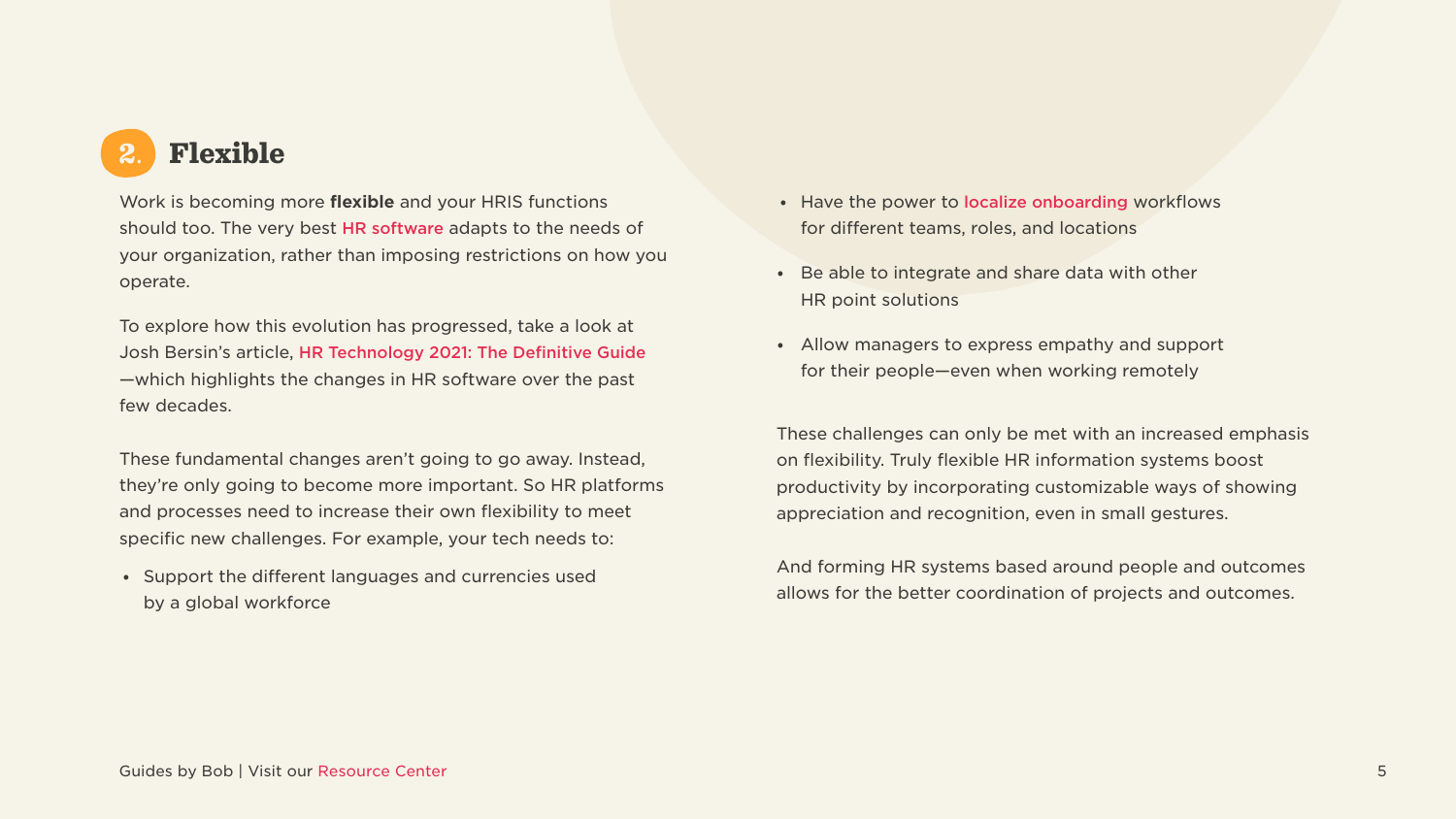

Work is becoming more flexible and your HRIS functions should too. The very best HR software adapts to the needs of your organization, rather than imposing restrictions on how you operate.

To explore how this evolution has progressed, take a look at Josh Bersin's article, HR Technology 2021: The Definitive Guide -which highlights the changes in HR software over the past few decades.

These fundamental changes aren't going to go away. Instead, they're only going to become more important. So HR platforms and processes need to increase their own flexibility to meet specific new challenges. For example, your tech needs to:

• Support the different languages and currencies used by a global workforce

- Have the power to localize onboarding workflows for different teams, roles, and locations
- Be able to integrate and share data with other HR point solutions
- Allow managers to express empathy and support for their people—even when working remotely

These challenges can only be met with an increased emphasis on flexibility. Truly flexible HR information systems boost productivity by incorporating customizable ways of showing appreciation and recognition, even in small gestures.

And forming HR systems based around people and outcomes allows for the better coordination of projects and outcomes.

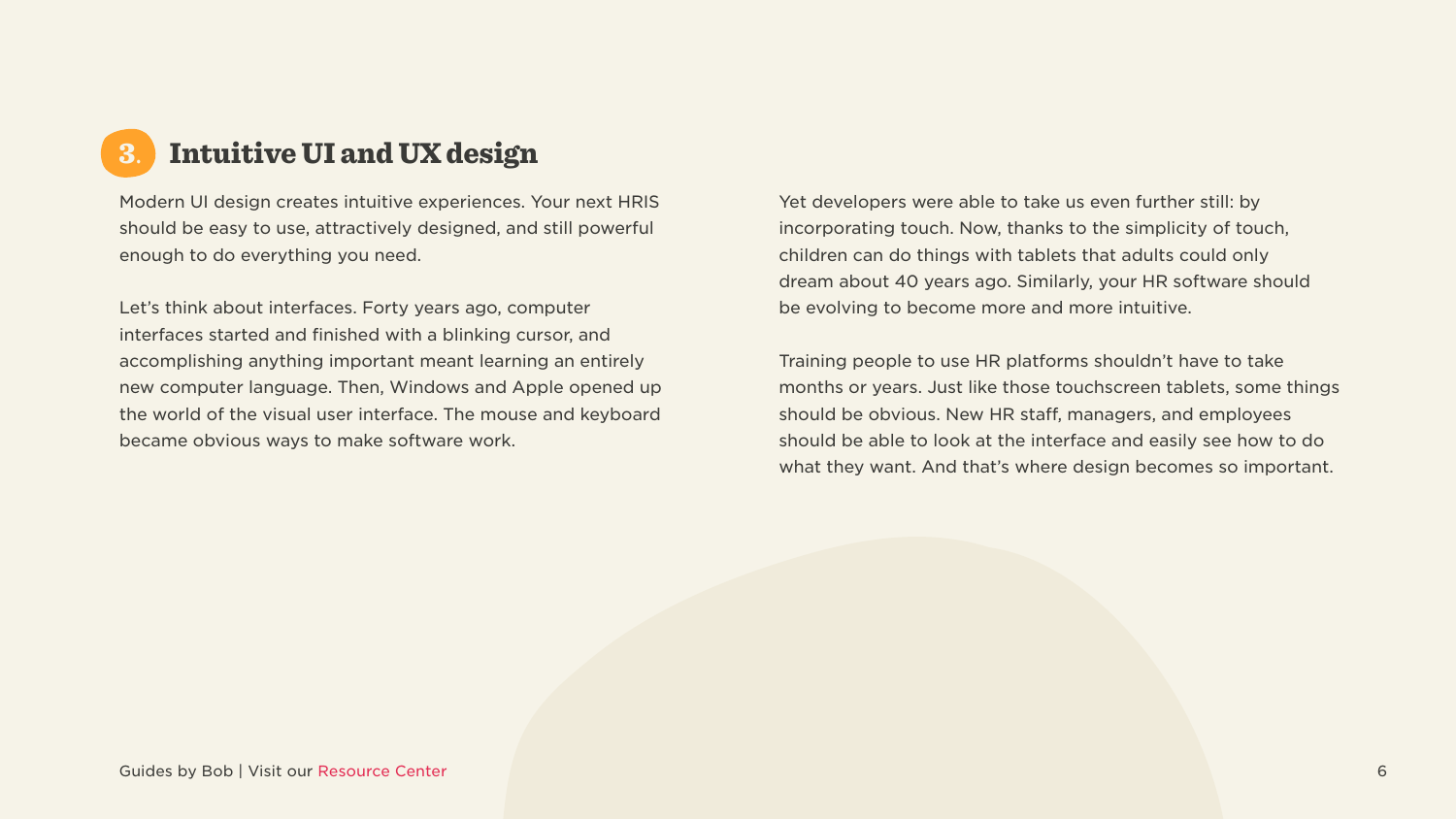### 3. Intuitive UI and UX design

Modern UI design creates intuitive experiences. Your next HRIS should be easy to use, attractively designed, and still powerful enough to do everything you need.

Let's think about interfaces. Forty years ago, computer interfaces started and finished with a blinking cursor, and accomplishing anything important meant learning an entirely new computer language. Then, Windows and Apple opened up the world of the visual user interface. The mouse and keyboard became obvious ways to make software work.

Yet developers were able to take us even further still: by incorporating touch. Now, thanks to the simplicity of touch, children can do things with tablets that adults could only dream about 40 years ago. Similarly, your HR software should be evolving to become more and more intuitive.

Training people to use HR platforms shouldn't have to take months or years. Just like those touchscreen tablets, some things should be obvious. New HR staff, managers, and employees should be able to look at the interface and easily see how to do what they want. And that's where design becomes so important.

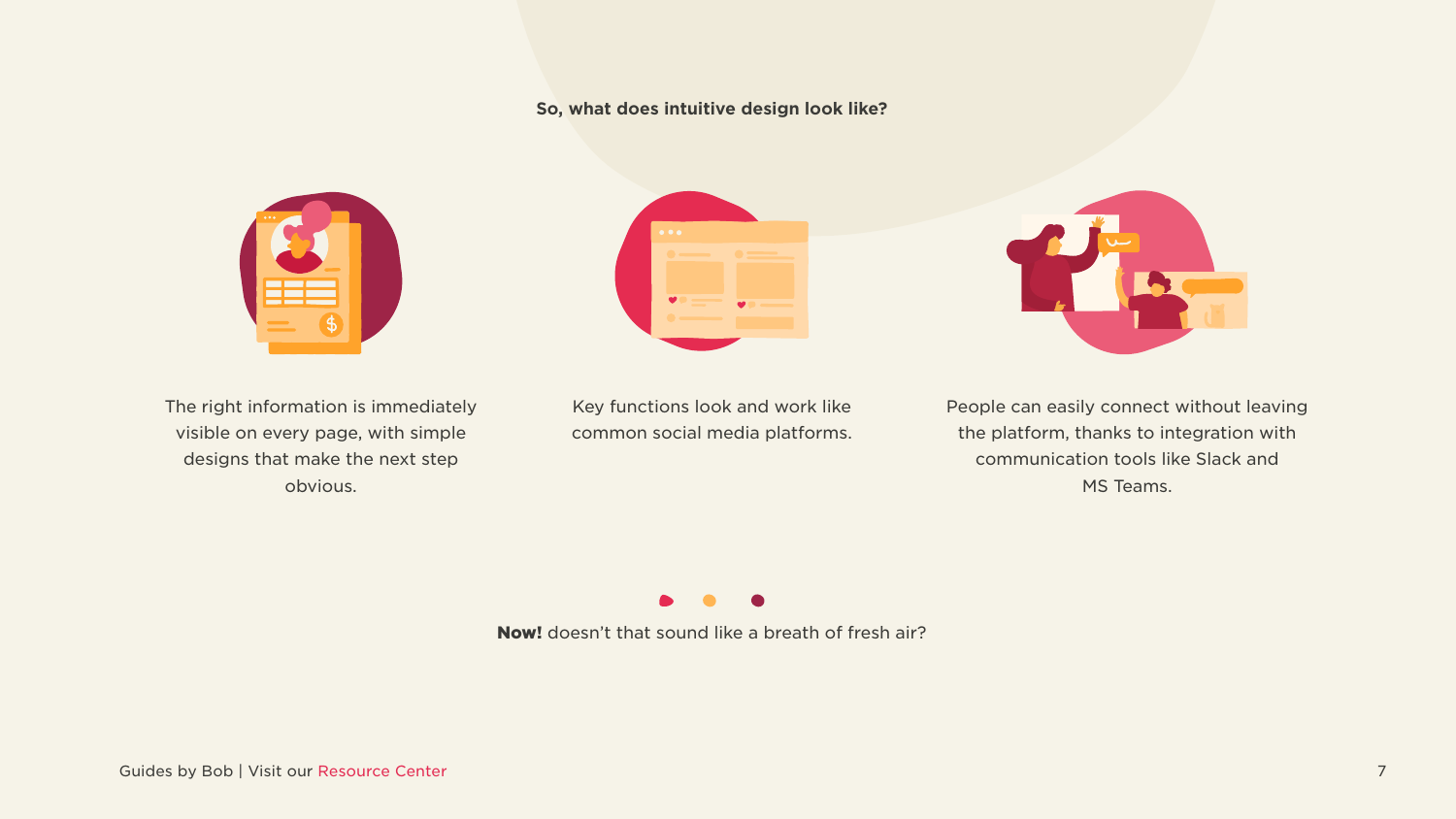#### So, what does intuitive design look like?





The right information is immediately visible on every page, with simple designs that make the next step obvious.

Key functions look and work like common social media platforms.

Now! doesn't that sound like a breath of fresh air?

Guides by Bob | Visit our Resource Center 7

People can easily connect without leaving the platform, thanks to integration with communication tools like Slack and MS Teams.

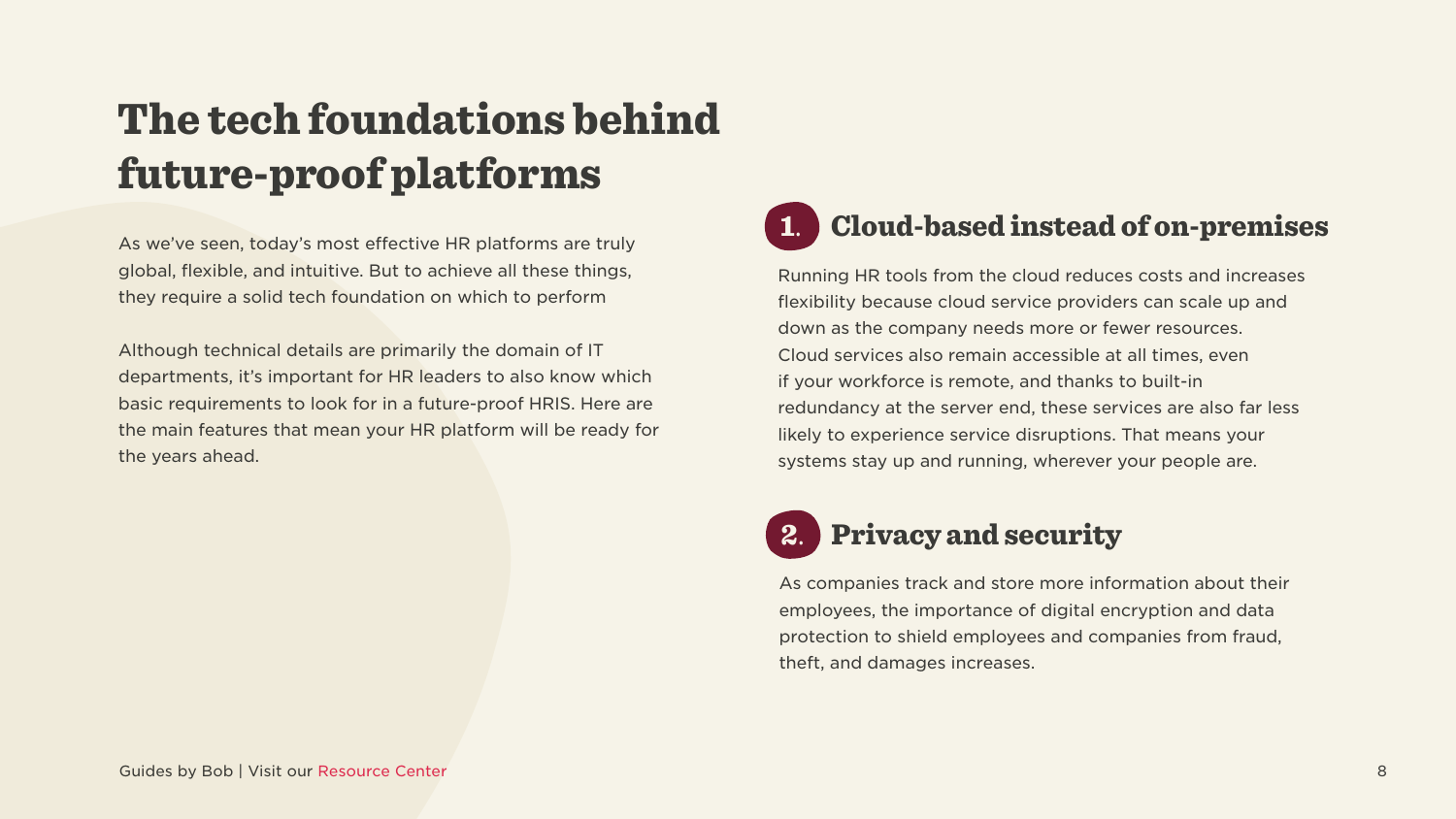## <span id="page-7-0"></span>The tech foundations behind future-proof platforms

As we've seen, today's most effective HR platforms are truly global, flexible, and intuitive. But to achieve all these things, they require a solid tech foundation on which to perform

Although technical details are primarily the domain of IT departments, it's important for HR leaders to also know which basic requirements to look for in a future-proof HRIS. Here are the main features that mean your HR platform will be ready for the years ahead.

## 1. Cloud-based instead of on-premises

Running HR tools from the cloud reduces costs and increases flexibility because cloud service providers can scale up and down as the company needs more or fewer resources. Cloud services also remain accessible at all times, even if your workforce is remote, and thanks to built-in redundancy at the server end, these services are also far less likely to experience service disruptions. That means your systems stay up and running, wherever your people are.

### **Privacy and security**

As companies track and store more information about their employees, the importance of digital encryption and data protection to shield employees and companies from fraud, theft, and damages increases.

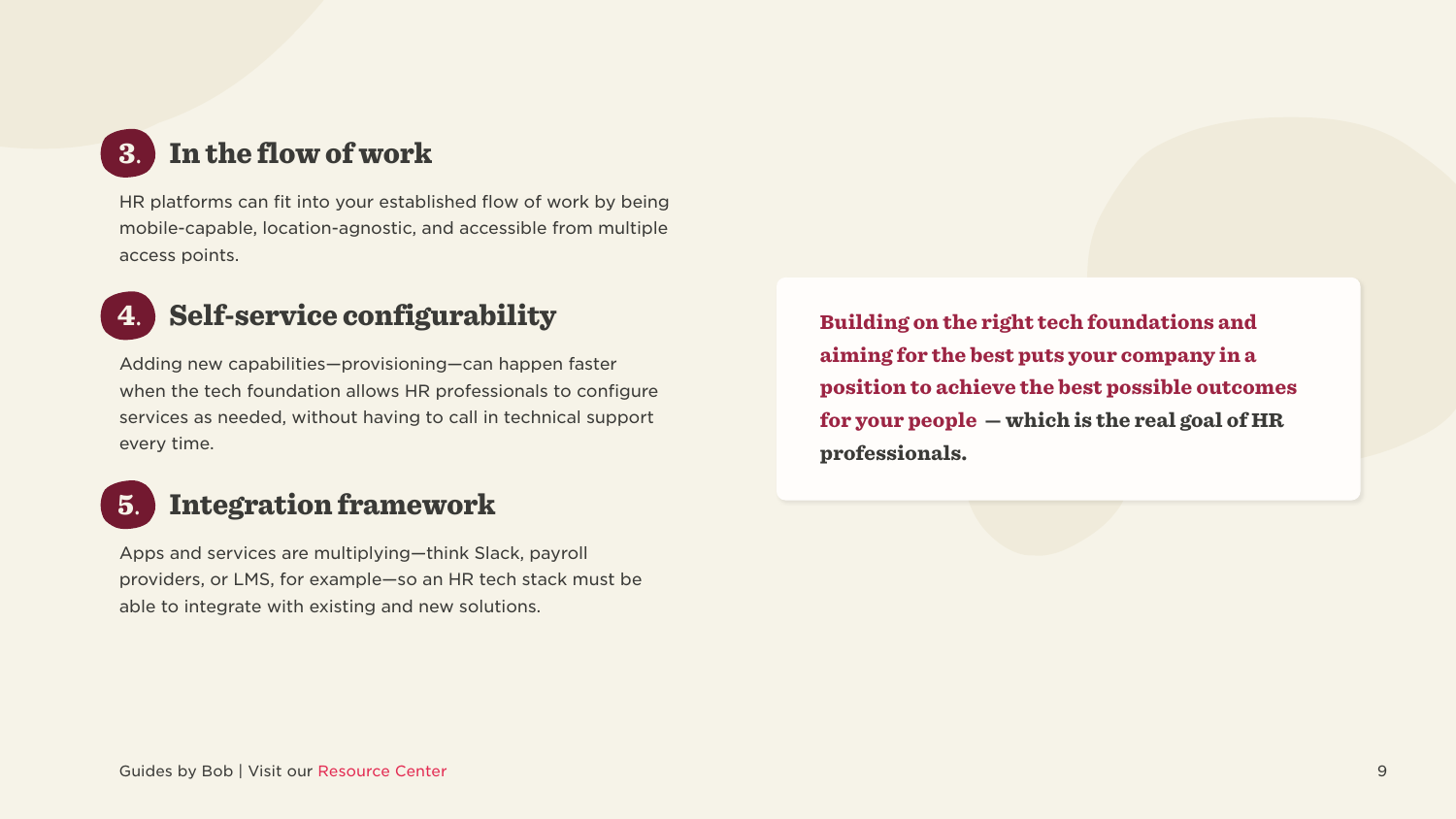### 3. In the flow of work

HR platforms can fit into your established flow of work by being mobile-capable, location-agnostic, and accessible from multiple access points.

### 4. Self-service configurability

Adding new capabilities-provisioning-can happen faster when the tech foundation allows HR professionals to configure services as needed, without having to call in technical support every time.

### **5.** Integration framework

Apps and services are multiplying-think Slack, payroll providers, or LMS, for example-so an HR tech stack must be able to integrate with existing and new solutions.

Building on the right tech foundations and aiming for the best puts your company in a position to achieve the best possible outcomes for your people  $-$  which is the real goal of HR professionals.

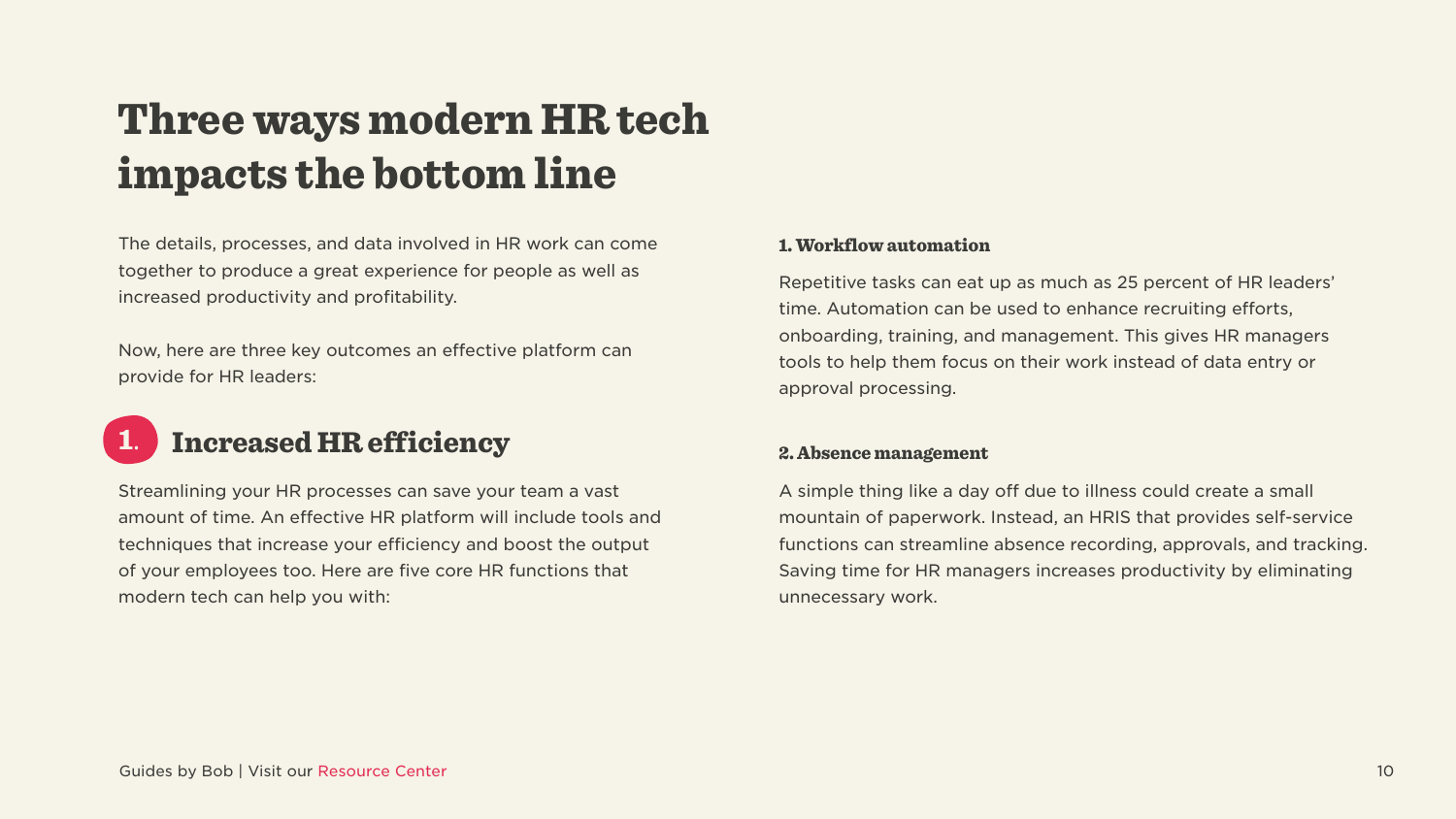### <span id="page-9-0"></span>Three ways modern HR tech impacts the bottom line

The details, processes, and data involved in HR work can come together to produce a great experience for people as well as increased productivity and profitability.

Now, here are three key outcomes an effective platform can provide for HR leaders:

#### **Increased HR efficiency** 1.

Streamlining your HR processes can save your team a vast amount of time. An effective HR platform will include tools and techniques that increase your efficiency and boost the output of your employees too. Here are five core HR functions that modern tech can help you with:

#### 1. Workflow automation

Repetitive tasks can eat up as much as 25 percent of HR leaders' time. Automation can be used to enhance recruiting efforts, onboarding, training, and management. This gives HR managers tools to help them focus on their work instead of data entry or approval processing.

#### 2. Absence management

A simple thing like a day off due to illness could create a small mountain of paperwork. Instead, an HRIS that provides self-service functions can streamline absence recording, approvals, and tracking. Saving time for HR managers increases productivity by eliminating unnecessary work.

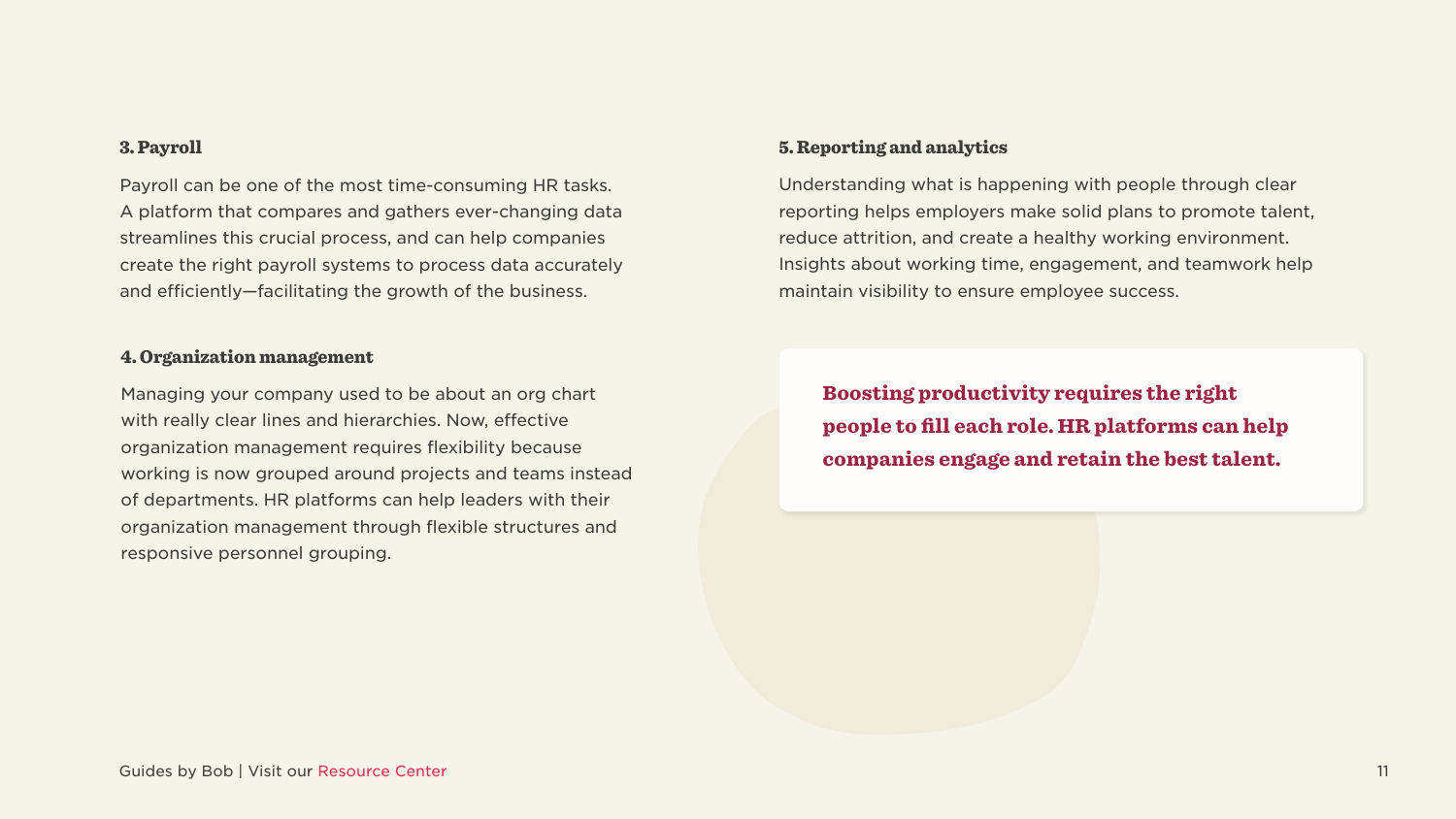#### 3. Payroll

Payroll can be one of the most time-consuming HR tasks. A platform that compares and gathers ever-changing data streamlines this crucial process, and can help companies create the right payroll systems to process data accurately and efficiently—facilitating the growth of the business.

#### 4. Organization management

Managing your company used to be about an org chart with really clear lines and hierarchies. Now, effective organization management requires flexibility because working is now grouped around projects and teams instead of departments. HR platforms can help leaders with their organization management through flexible structures and responsive personnel grouping.

#### 5. Reporting and analytics

Understanding what is happening with people through clear reporting helps employers make solid plans to promote talent, reduce attrition, and create a healthy working environment. Insights about working time, engagement, and teamwork help maintain visibility to ensure employee success.

Boosting productivity requires the right people to fill each role. HR platforms can help companies engage and retain the best talent.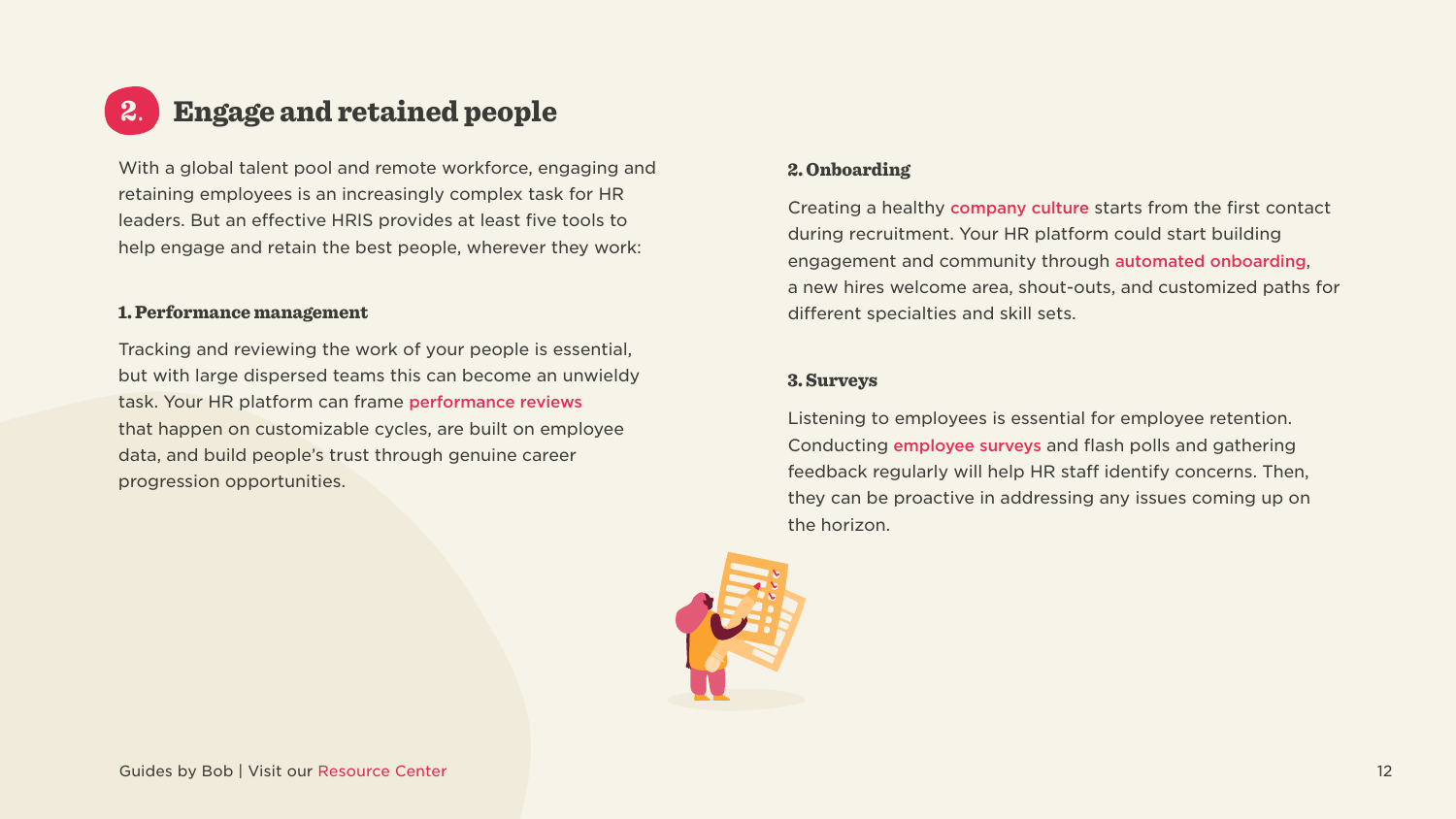#### <span id="page-11-0"></span>Engage and retained people 2.

With a global talent pool and remote workforce, engaging and retaining employees is an increasingly complex task for HR leaders. But an effective HRIS provides at least five tools to help engage and retain the best people, wherever they work:

#### 1. Performance management

Tracking and reviewing the work of your people is essential, but with large dispersed teams this can become an unwieldy task. Your HR platform can frame performance reviews that happen on customizable cycles, are built on employee data, and build people's trust through genuine career progression opportunities.

#### 2. Onboarding

Creating a healthy company culture starts from the first contact during recruitment. Your HR platform could start building engagement and community through automated onboarding, a new hires welcome area, shout-outs, and customized paths for different specialties and skill sets.

#### Surveys 3.

Listening to employees is essential for employee retention. Conducting employee surveys and flash polls and gathering feedback regularly will help HR staff identify concerns. Then, they can be proactive in addressing any issues coming up on the horizon.



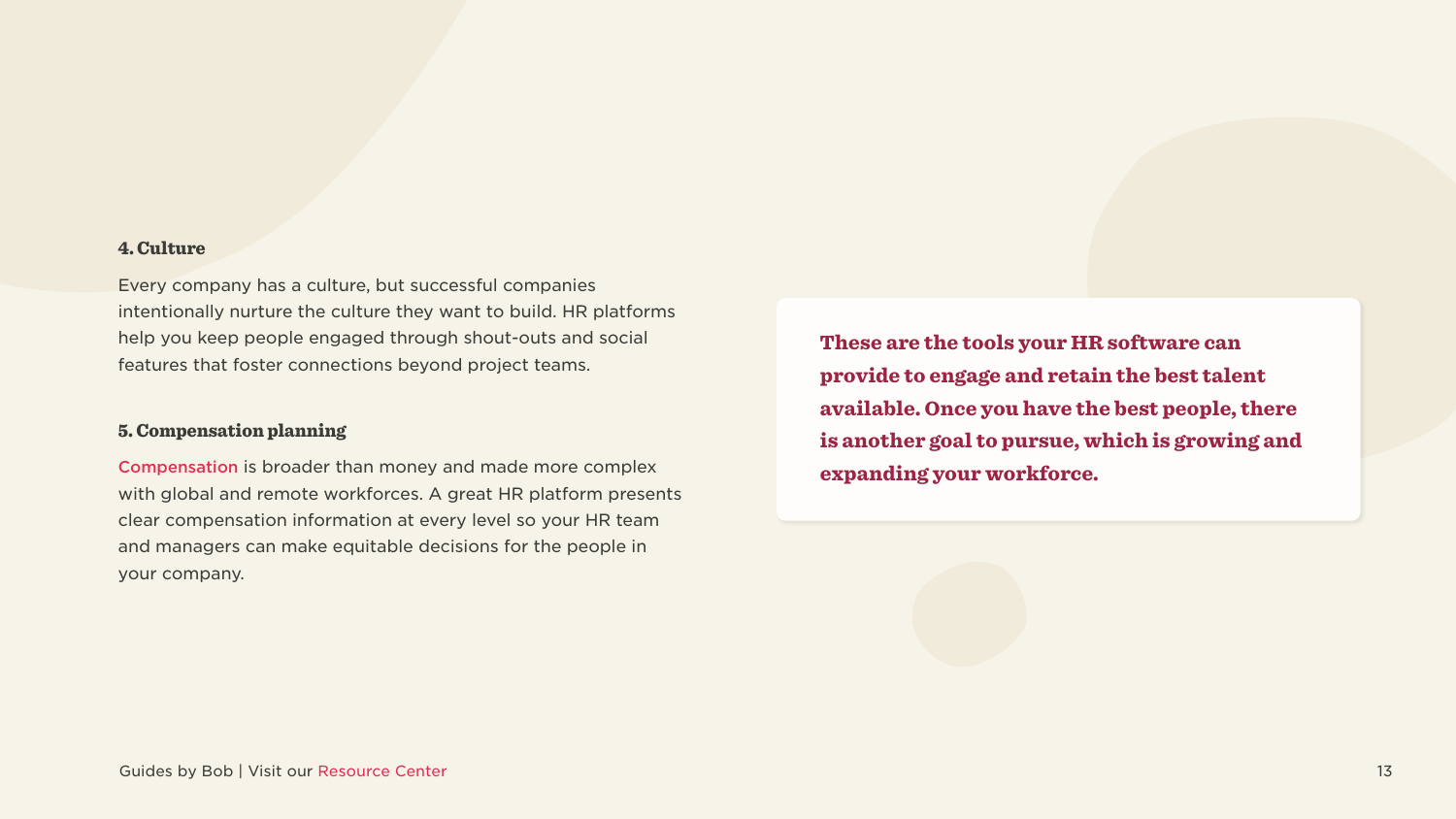#### 4. Culture

Every company has a culture, but successful companies intentionally nurture the culture they want to build. HR platforms help you keep people engaged through shout-outs and social features that foster connections beyond project teams.

#### 5. Compensation planning

[Compensation](https://www.hibob.com/hr-glossary/compensation-management-planning/) is broader than money and made more complex with global and remote workforces. A great HR platform presents clear compensation information at every level so your HR team and managers can make equitable decisions for the people in your company.

These are the tools your HR software can provide to engage and retain the best talent available. Once you have the best people, there is another goal to pursue, which is growing and expanding your workforce.

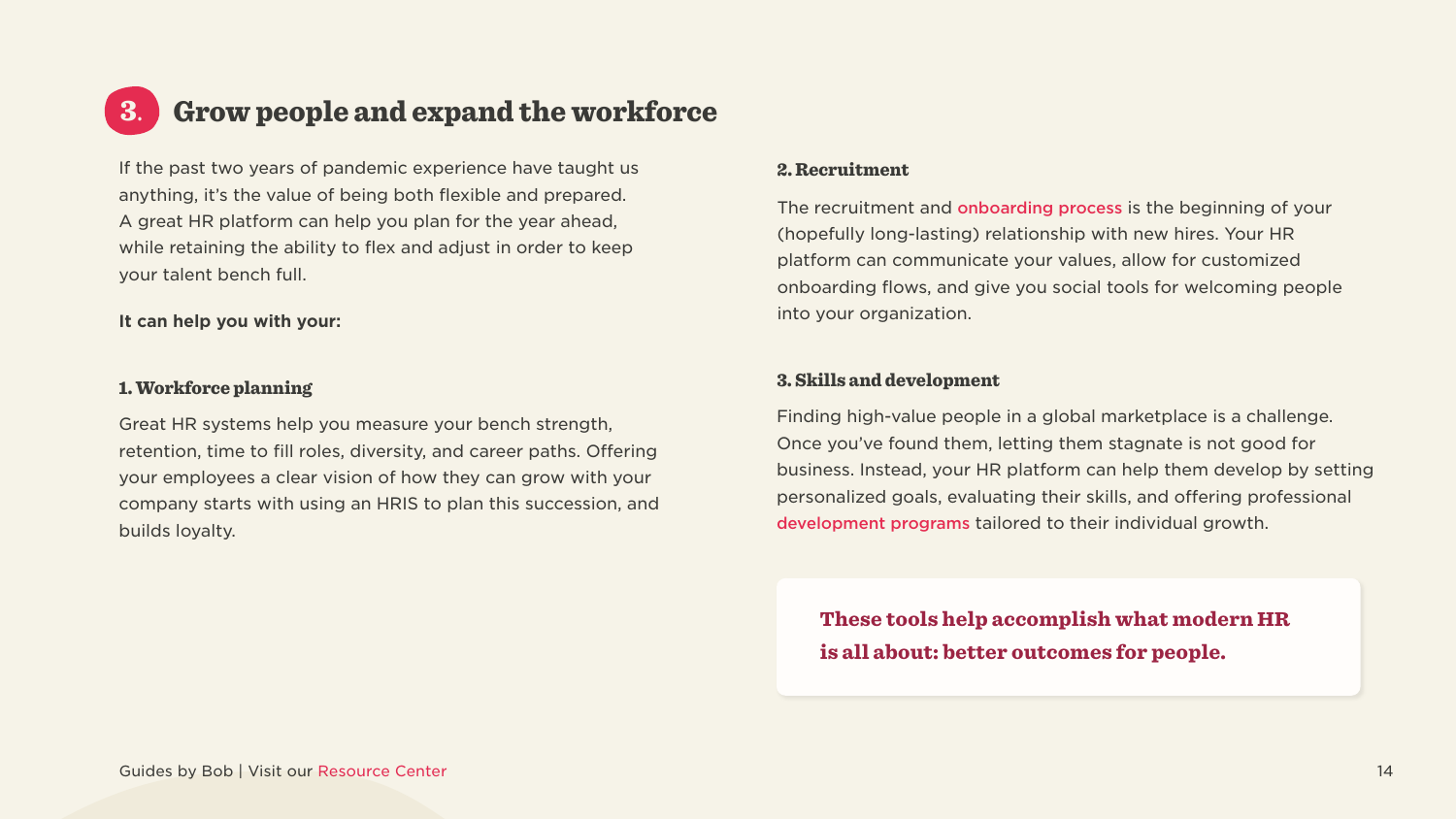#### <span id="page-13-0"></span>Grow people and expand the workforce 3.

If the past two years of pandemic experience have taught us anything, it's the value of being both flexible and prepared. A great HR platform can help you plan for the year ahead, while retaining the ability to flex and adjust in order to keep your talent bench full.

#### It can help you with your:

#### 1. Workforce planning

Great HR systems help you measure your bench strength, retention, time to fill roles, diversity, and career paths. Offering your employees a clear vision of how they can grow with your company starts with using an HRIS to plan this succession, and builds loyalty.

#### 2. Recruitment

The recruitment and onboarding process is the beginning of your (hopefully long-lasting) relationship with new hires. Your HR platform can communicate your values, allow for customized onboarding flows, and give you social tools for welcoming people into your organization.

#### 3. Skills and development

Finding high-value people in a global marketplace is a challenge. Once you've found them, letting them stagnate is not good for business. Instead, your HR platform can help them develop by setting personalized goals, evaluating their skills, and offering professional development programs tailored to their individual growth.

These tools help accomplish what modern HR is all about: better outcomes for people.

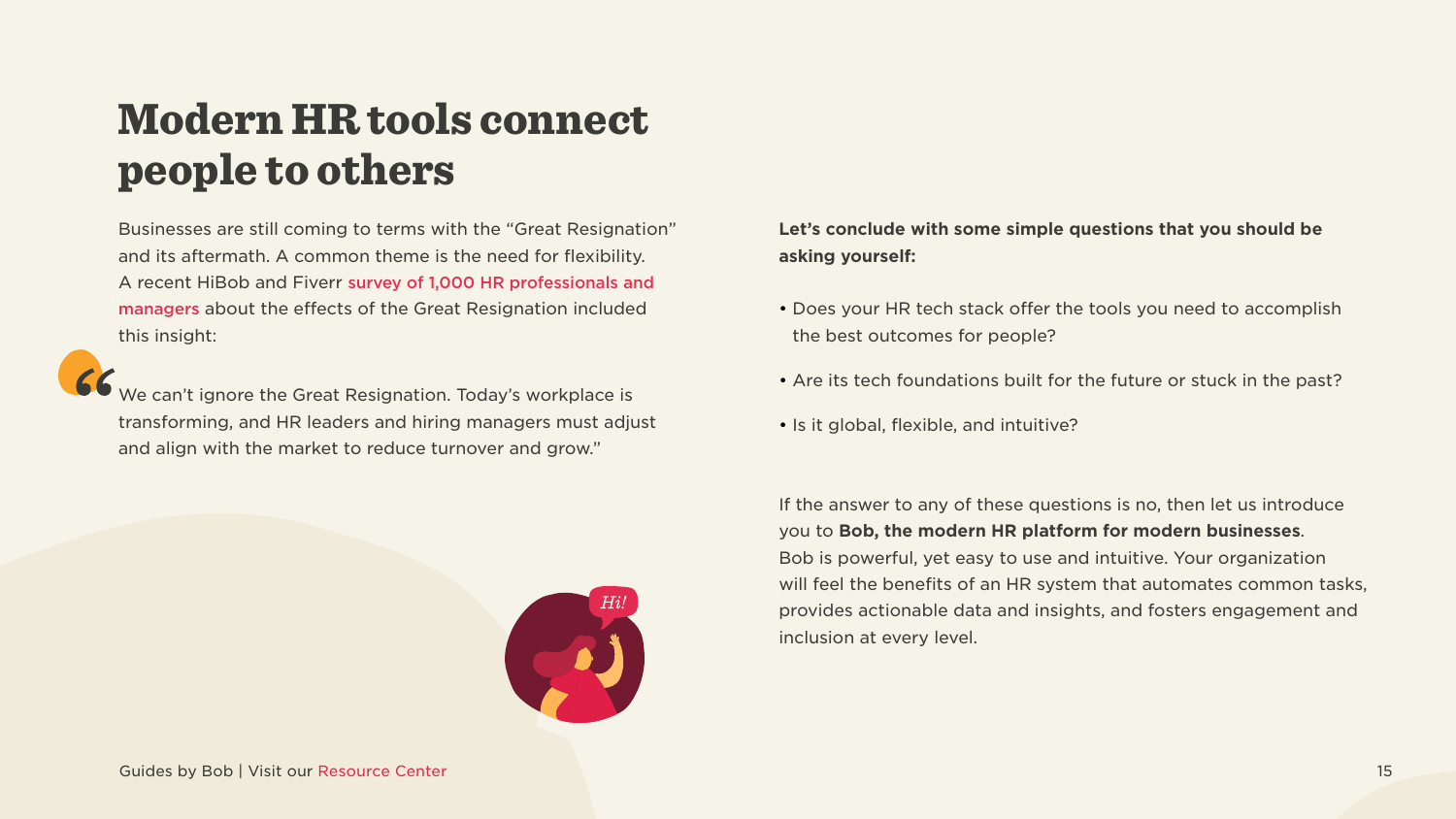### <span id="page-14-0"></span>Modern HR tools connect people to others

Businesses are still coming to terms with the "Great Resignation" and its aftermath. A common theme is the need for flexibility. A recent HiBob and Fiverr survey of 1,000 HR professionals and [managers](https://www.hibob.com/blog/hibob-fiverr-great-resignation-research/) about the effects of the Great Resignation included this insight:



We can't ignore the Great Resignation. Today's workplace is transforming, and HR leaders and hiring managers must adjust and align with the market to reduce turnover and grow."



Guides by Bob | Visit our Resource Center 15

#### Let's conclude with some simple questions that you should be asking yourself:

- Does your HR tech stack offer the tools you need to accomplish the best outcomes for people?
- Are its tech foundations built for the future or stuck in the past?
- Is it global, flexible, and intuitive?

If the answer to any of these questions is no, then let us introduce you to **Bob, the modern HR platform for modern businesses.** Bob is powerful, yet easy to use and intuitive. Your organization will feel the benefits of an HR system that automates common tasks, provides actionable data and insights, and fosters engagement and inclusion at every level.

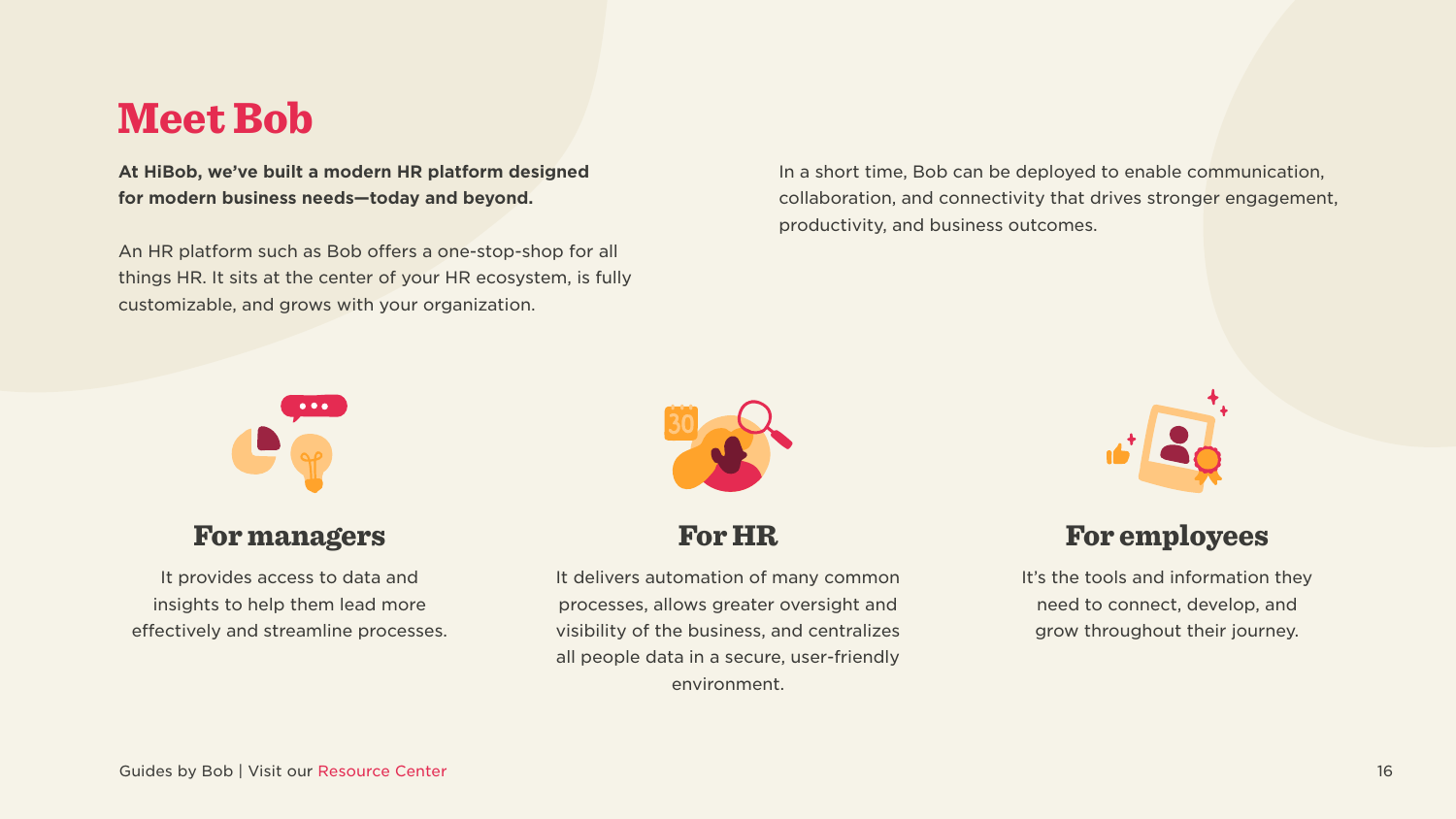### Meet Bob

At HiBob, we've built a modern HR platform designed for modern business needs-today and beyond.

An HR platform such as Bob offers a one-stop-shop for all things HR. It sits at the center of your HR ecosystem, is fully customizable, and grows with your organization.

#### **For managers**

It provides access to data and insights to help them lead more effectively and streamline processes. It delivers automation of many common processes, allows greater oversight and visibility of the business, and centralizes all people data in a secure, user-friendly environment.



In a short time, Bob can be deployed to enable communication, collaboration, and connectivity that drives stronger engagement, productivity, and business outcomes.

#### **For HR**



### For employees

It's the tools and information they need to connect, develop, and grow throughout their journey.